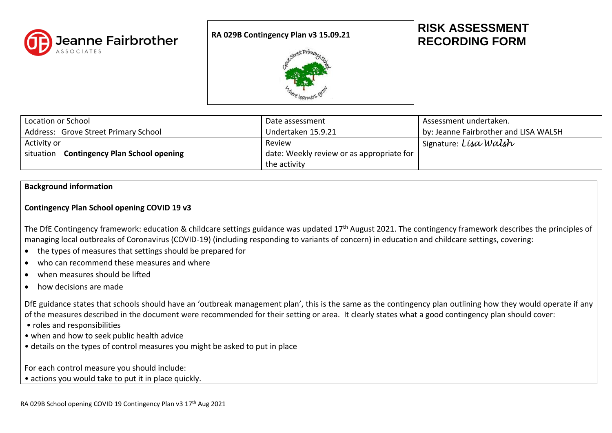

### **RA 029B Contingency Plan v3 15.09.21**



# **RISK ASSESSMENT RECORDING FORM**

| Location or School                                  | Date assessment                               | Assessment undertaken.                |
|-----------------------------------------------------|-----------------------------------------------|---------------------------------------|
| Address: Grove Street Primary School                | Undertaken 15.9.21                            | by: Jeanne Fairbrother and LISA WALSH |
| Activity or                                         | Review                                        | Signature: Lisa Walsh                 |
| <b>Contingency Plan School opening</b><br>situation | date: Weekly review or as appropriate for $ $ |                                       |
|                                                     | the activity                                  |                                       |

# **Background information**

# **Contingency Plan School opening COVID 19 v3**

The DfE Contingency framework: education & childcare settings guidance was updated 17<sup>th</sup> August 2021. The contingency framework describes the principles of managing local outbreaks of Coronavirus (COVID-19) (including responding to variants of concern) in education and childcare settings, covering:

- the types of measures that settings should be prepared for
- who can recommend these measures and where
- when measures should be lifted
- how decisions are made

DfE guidance states that schools should have an 'outbreak management plan', this is the same as the contingency plan outlining how they would operate if any of the measures described in the document were recommended for their setting or area. It clearly states what a good contingency plan should cover:

- roles and responsibilities
- when and how to seek public health advice
- details on the types of control measures you might be asked to put in place

For each control measure you should include:

• actions you would take to put it in place quickly.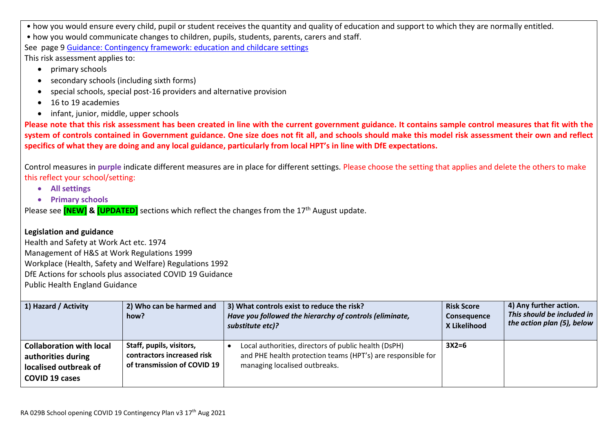• how you would ensure every child, pupil or student receives the quantity and quality of education and support to which they are normally entitled.

• how you would communicate changes to children, pupils, students, parents, carers and staff.

See page 9 Guidance: [Contingency framework: education and childcare settings](https://www.gov.uk/government/publications/coronavirus-covid-19-local-restrictions-in-education-and-childcare-settings/contingency-framework-education-and-childcare-settings)

This risk assessment applies to:

- primary schools
- secondary schools (including sixth forms)
- special schools, special post-16 providers and alternative provision
- 16 to 19 academies
- infant, junior, middle, upper schools

**Please note that this risk assessment has been created in line with the current government guidance. It contains sample control measures that fit with the system of controls contained in Government guidance. One size does not fit all, and schools should make this model risk assessment their own and reflect specifics of what they are doing and any local guidance, particularly from local HPT's in line with DfE expectations.**

Control measures in **purple** indicate different measures are in place for different settings. Please choose the setting that applies and delete the others to make this reflect your school/setting:

- **All settings**
- **Primary schools**

Please see **[NEW] & [UPDATED]** sections which reflect the changes from the 17<sup>th</sup> August update.

# **Legislation and guidance**

Health and Safety at Work Act etc. 1974 Management of H&S at Work Regulations 1999 Workplace (Health, Safety and Welfare) Regulations 1992 DfE Actions for schools plus associated COVID 19 Guidance Public Health England Guidance

| 1) Hazard / Activity                                                                                    | 2) Who can be harmed and<br>how?                                                      | 3) What controls exist to reduce the risk?<br>Have you followed the hierarchy of controls (eliminate,<br>substitute etc)?                            | <b>Risk Score</b><br>Consequence<br>X Likelihood | 4) Any further action.<br>This should be included in<br>the action plan (5), below |
|---------------------------------------------------------------------------------------------------------|---------------------------------------------------------------------------------------|------------------------------------------------------------------------------------------------------------------------------------------------------|--------------------------------------------------|------------------------------------------------------------------------------------|
| <b>Collaboration with local</b><br>authorities during<br>localised outbreak of<br><b>COVID 19 cases</b> | Staff, pupils, visitors,<br>contractors increased risk<br>of transmission of COVID 19 | Local authorities, directors of public health (DsPH)<br>and PHE health protection teams (HPT's) are responsible for<br>managing localised outbreaks. | $3X2=6$                                          |                                                                                    |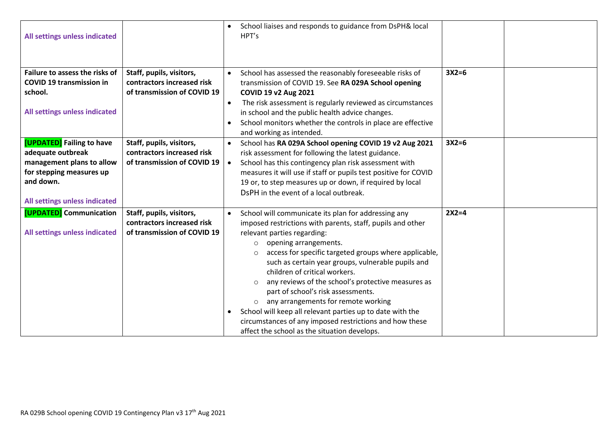| All settings unless indicated                                                                                                                         |                                                                                       | School liaises and responds to guidance from DsPH& local<br>HPT's                                                                                                                                                                                                                                                                                                                                                                                                                                                                                                                                                                                                                  |         |  |
|-------------------------------------------------------------------------------------------------------------------------------------------------------|---------------------------------------------------------------------------------------|------------------------------------------------------------------------------------------------------------------------------------------------------------------------------------------------------------------------------------------------------------------------------------------------------------------------------------------------------------------------------------------------------------------------------------------------------------------------------------------------------------------------------------------------------------------------------------------------------------------------------------------------------------------------------------|---------|--|
| Failure to assess the risks of<br><b>COVID 19 transmission in</b><br>school.<br>All settings unless indicated                                         | Staff, pupils, visitors,<br>contractors increased risk<br>of transmission of COVID 19 | School has assessed the reasonably foreseeable risks of<br>$\bullet$<br>transmission of COVID 19. See RA 029A School opening<br>COVID 19 v2 Aug 2021<br>The risk assessment is regularly reviewed as circumstances<br>$\bullet$<br>in school and the public health advice changes.<br>School monitors whether the controls in place are effective<br>and working as intended.                                                                                                                                                                                                                                                                                                      | $3X2=6$ |  |
| [UPDATED] Failing to have<br>adequate outbreak<br>management plans to allow<br>for stepping measures up<br>and down.<br>All settings unless indicated | Staff, pupils, visitors,<br>contractors increased risk<br>of transmission of COVID 19 | School has RA 029A School opening COVID 19 v2 Aug 2021<br>$\bullet$<br>risk assessment for following the latest guidance.<br>School has this contingency plan risk assessment with<br>$\bullet$<br>measures it will use if staff or pupils test positive for COVID<br>19 or, to step measures up or down, if required by local<br>DsPH in the event of a local outbreak.                                                                                                                                                                                                                                                                                                           | $3X2=6$ |  |
| [UPDATED] Communication<br>All settings unless indicated                                                                                              | Staff, pupils, visitors,<br>contractors increased risk<br>of transmission of COVID 19 | School will communicate its plan for addressing any<br>$\bullet$<br>imposed restrictions with parents, staff, pupils and other<br>relevant parties regarding:<br>opening arrangements.<br>$\circ$<br>access for specific targeted groups where applicable,<br>$\circ$<br>such as certain year groups, vulnerable pupils and<br>children of critical workers.<br>any reviews of the school's protective measures as<br>part of school's risk assessments.<br>any arrangements for remote working<br>$\circ$<br>School will keep all relevant parties up to date with the<br>circumstances of any imposed restrictions and how these<br>affect the school as the situation develops. | $2X2=4$ |  |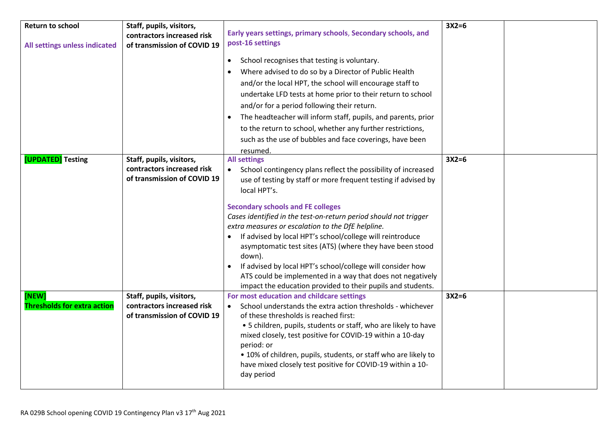| <b>Return to school</b>                     | Staff, pupils, visitors,<br>contractors increased risk                                | Early years settings, primary schools, Secondary schools, and                                                                                                                                                                                                                                                                                                                                                                                                                                                                                                                                                                                                              | $3X2=6$ |  |
|---------------------------------------------|---------------------------------------------------------------------------------------|----------------------------------------------------------------------------------------------------------------------------------------------------------------------------------------------------------------------------------------------------------------------------------------------------------------------------------------------------------------------------------------------------------------------------------------------------------------------------------------------------------------------------------------------------------------------------------------------------------------------------------------------------------------------------|---------|--|
| All settings unless indicated               | of transmission of COVID 19                                                           | post-16 settings                                                                                                                                                                                                                                                                                                                                                                                                                                                                                                                                                                                                                                                           |         |  |
|                                             |                                                                                       | School recognises that testing is voluntary.<br>$\bullet$<br>Where advised to do so by a Director of Public Health<br>and/or the local HPT, the school will encourage staff to<br>undertake LFD tests at home prior to their return to school<br>and/or for a period following their return.<br>The headteacher will inform staff, pupils, and parents, prior<br>to the return to school, whether any further restrictions,<br>such as the use of bubbles and face coverings, have been<br>resumed.                                                                                                                                                                        |         |  |
| [UPDATED] Testing                           | Staff, pupils, visitors,<br>contractors increased risk<br>of transmission of COVID 19 | <b>All settings</b><br>School contingency plans reflect the possibility of increased<br>use of testing by staff or more frequent testing if advised by<br>local HPT's.<br><b>Secondary schools and FE colleges</b><br>Cases identified in the test-on-return period should not trigger<br>extra measures or escalation to the DfE helpline.<br>If advised by local HPT's school/college will reintroduce<br>asymptomatic test sites (ATS) (where they have been stood<br>down).<br>If advised by local HPT's school/college will consider how<br>ATS could be implemented in a way that does not negatively<br>impact the education provided to their pupils and students. | $3X2=6$ |  |
| [NEW]<br><b>Thresholds for extra action</b> | Staff, pupils, visitors,<br>contractors increased risk<br>of transmission of COVID 19 | For most education and childcare settings<br>School understands the extra action thresholds - whichever<br>of these thresholds is reached first:<br>• 5 children, pupils, students or staff, who are likely to have<br>mixed closely, test positive for COVID-19 within a 10-day<br>period: or<br>• 10% of children, pupils, students, or staff who are likely to<br>have mixed closely test positive for COVID-19 within a 10-<br>day period                                                                                                                                                                                                                              | $3X2=6$ |  |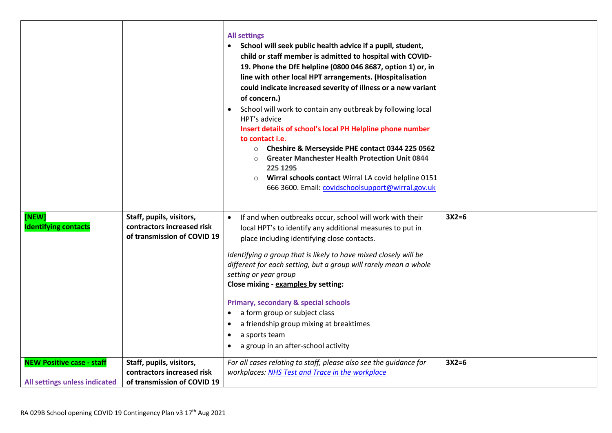|                                                                   |                                                                                       | <b>All settings</b><br>School will seek public health advice if a pupil, student,<br>child or staff member is admitted to hospital with COVID-<br>19. Phone the DfE helpline (0800 046 8687, option 1) or, in<br>line with other local HPT arrangements. (Hospitalisation<br>could indicate increased severity of illness or a new variant<br>of concern.)<br>School will work to contain any outbreak by following local<br>$\bullet$<br>HPT's advice<br>Insert details of school's local PH Helpline phone number<br>to contact <i>i.e.</i><br>Cheshire & Merseyside PHE contact 0344 225 0562<br>$\circ$<br><b>Greater Manchester Health Protection Unit 0844</b><br>225 1295<br>Wirral schools contact Wirral LA covid helpline 0151<br>$\circ$<br>666 3600. Email: covidschoolsupport@wirral.gov.uk |         |  |
|-------------------------------------------------------------------|---------------------------------------------------------------------------------------|----------------------------------------------------------------------------------------------------------------------------------------------------------------------------------------------------------------------------------------------------------------------------------------------------------------------------------------------------------------------------------------------------------------------------------------------------------------------------------------------------------------------------------------------------------------------------------------------------------------------------------------------------------------------------------------------------------------------------------------------------------------------------------------------------------|---------|--|
| [NEW]<br><b>Identifying contacts</b>                              | Staff, pupils, visitors,<br>contractors increased risk<br>of transmission of COVID 19 | If and when outbreaks occur, school will work with their<br>$\bullet$<br>local HPT's to identify any additional measures to put in<br>place including identifying close contacts.<br>Identifying a group that is likely to have mixed closely will be<br>different for each setting, but a group will rarely mean a whole<br>setting or year group<br>Close mixing - examples by setting:<br><b>Primary, secondary &amp; special schools</b><br>a form group or subject class<br>$\bullet$<br>a friendship group mixing at breaktimes<br>$\bullet$<br>a sports team<br>$\bullet$<br>a group in an after-school activity<br>$\bullet$                                                                                                                                                                     | $3X2=6$ |  |
| <b>NEW Positive case - staff</b><br>All settings unless indicated | Staff, pupils, visitors,<br>contractors increased risk<br>of transmission of COVID 19 | For all cases relating to staff, please also see the guidance for<br>workplaces: NHS Test and Trace in the workplace                                                                                                                                                                                                                                                                                                                                                                                                                                                                                                                                                                                                                                                                                     | $3X2=6$ |  |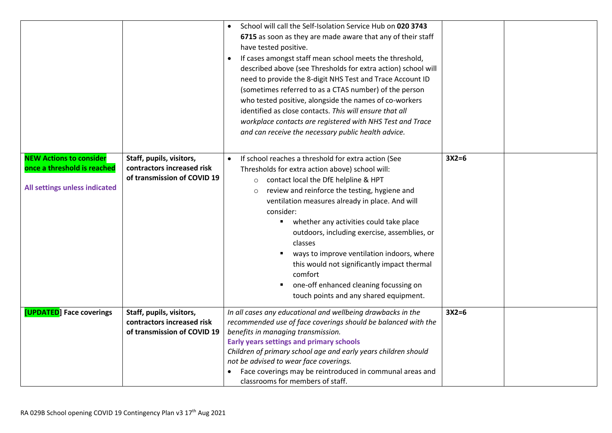|                                                                                                |                                                                                       | School will call the Self-Isolation Service Hub on 020 3743<br>6715 as soon as they are made aware that any of their staff<br>have tested positive.<br>If cases amongst staff mean school meets the threshold,<br>described above (see Thresholds for extra action) school will<br>need to provide the 8-digit NHS Test and Trace Account ID<br>(sometimes referred to as a CTAS number) of the person<br>who tested positive, alongside the names of co-workers<br>identified as close contacts. This will ensure that all<br>workplace contacts are registered with NHS Test and Trace<br>and can receive the necessary public health advice. |         |
|------------------------------------------------------------------------------------------------|---------------------------------------------------------------------------------------|-------------------------------------------------------------------------------------------------------------------------------------------------------------------------------------------------------------------------------------------------------------------------------------------------------------------------------------------------------------------------------------------------------------------------------------------------------------------------------------------------------------------------------------------------------------------------------------------------------------------------------------------------|---------|
| <b>NEW Actions to consider</b><br>once a threshold is reached<br>All settings unless indicated | Staff, pupils, visitors,<br>contractors increased risk<br>of transmission of COVID 19 | If school reaches a threshold for extra action (See<br>Thresholds for extra action above) school will:<br>contact local the DfE helpline & HPT<br>$\circ$<br>review and reinforce the testing, hygiene and<br>$\circ$<br>ventilation measures already in place. And will<br>consider:<br>whether any activities could take place<br>outdoors, including exercise, assemblies, or<br>classes<br>ways to improve ventilation indoors, where<br>this would not significantly impact thermal<br>comfort<br>one-off enhanced cleaning focussing on<br>touch points and any shared equipment.                                                         | $3X2=6$ |
| [UPDATED] Face coverings                                                                       | Staff, pupils, visitors,<br>contractors increased risk<br>of transmission of COVID 19 | In all cases any educational and wellbeing drawbacks in the<br>recommended use of face coverings should be balanced with the<br>benefits in managing transmission.<br><b>Early years settings and primary schools</b><br>Children of primary school age and early years children should<br>not be advised to wear face coverings.<br>Face coverings may be reintroduced in communal areas and<br>classrooms for members of staff.                                                                                                                                                                                                               | $3X2=6$ |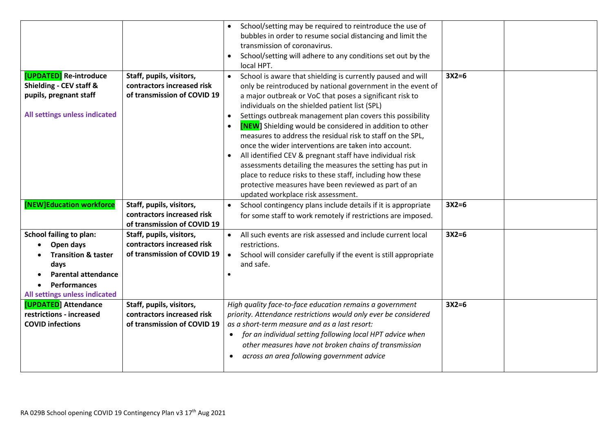|                                |                             | School/setting may be required to reintroduce the use of                      |         |
|--------------------------------|-----------------------------|-------------------------------------------------------------------------------|---------|
|                                |                             | bubbles in order to resume social distancing and limit the                    |         |
|                                |                             | transmission of coronavirus.                                                  |         |
|                                |                             | School/setting will adhere to any conditions set out by the<br>$\bullet$      |         |
|                                |                             | local HPT.                                                                    |         |
| [UPDATED] Re-introduce         | Staff, pupils, visitors,    | School is aware that shielding is currently paused and will<br>$\bullet$      | $3X2=6$ |
| Shielding - CEV staff &        | contractors increased risk  | only be reintroduced by national government in the event of                   |         |
| pupils, pregnant staff         | of transmission of COVID 19 | a major outbreak or VoC that poses a significant risk to                      |         |
|                                |                             | individuals on the shielded patient list (SPL)                                |         |
| All settings unless indicated  |                             | Settings outbreak management plan covers this possibility<br>$\bullet$        |         |
|                                |                             | <b>[NEW]</b> Shielding would be considered in addition to other               |         |
|                                |                             | measures to address the residual risk to staff on the SPL,                    |         |
|                                |                             | once the wider interventions are taken into account.                          |         |
|                                |                             | All identified CEV & pregnant staff have individual risk<br>$\bullet$         |         |
|                                |                             | assessments detailing the measures the setting has put in                     |         |
|                                |                             | place to reduce risks to these staff, including how these                     |         |
|                                |                             | protective measures have been reviewed as part of an                          |         |
|                                |                             | updated workplace risk assessment.                                            |         |
| [NEW]Education workforce       | Staff, pupils, visitors,    | School contingency plans include details if it is appropriate                 | $3X2=6$ |
|                                | contractors increased risk  | for some staff to work remotely if restrictions are imposed.                  |         |
|                                | of transmission of COVID 19 |                                                                               |         |
| <b>School failing to plan:</b> | Staff, pupils, visitors,    | All such events are risk assessed and include current local<br>$\bullet$      | $3X2=6$ |
| Open days                      | contractors increased risk  | restrictions.                                                                 |         |
| <b>Transition &amp; taster</b> | of transmission of COVID 19 | $\bullet$<br>School will consider carefully if the event is still appropriate |         |
| days                           |                             | and safe.                                                                     |         |
| <b>Parental attendance</b>     |                             |                                                                               |         |
| <b>Performances</b>            |                             |                                                                               |         |
| All settings unless indicated  |                             |                                                                               |         |
| [UPDATED] Attendance           | Staff, pupils, visitors,    | High quality face-to-face education remains a government                      | $3X2=6$ |
| restrictions - increased       | contractors increased risk  | priority. Attendance restrictions would only ever be considered               |         |
| <b>COVID infections</b>        | of transmission of COVID 19 | as a short-term measure and as a last resort:                                 |         |
|                                |                             | for an individual setting following local HPT advice when                     |         |
|                                |                             | other measures have not broken chains of transmission                         |         |
|                                |                             | across an area following government advice<br>$\bullet$                       |         |
|                                |                             |                                                                               |         |
|                                |                             |                                                                               |         |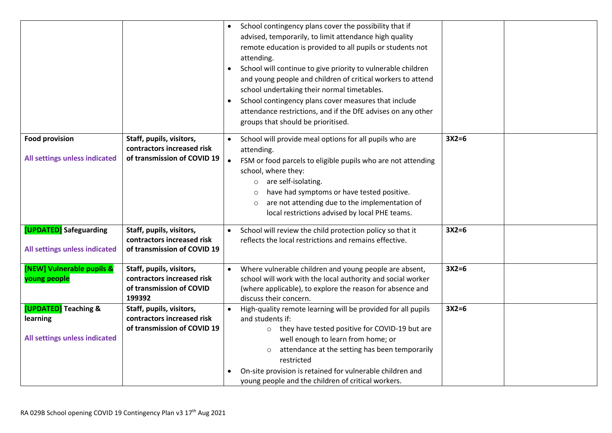|                                                         |                                                                                              | School contingency plans cover the possibility that if<br>advised, temporarily, to limit attendance high quality<br>remote education is provided to all pupils or students not<br>attending.<br>School will continue to give priority to vulnerable children<br>and young people and children of critical workers to attend<br>school undertaking their normal timetables.<br>School contingency plans cover measures that include<br>attendance restrictions, and if the DfE advises on any other<br>groups that should be prioritised. |         |  |
|---------------------------------------------------------|----------------------------------------------------------------------------------------------|------------------------------------------------------------------------------------------------------------------------------------------------------------------------------------------------------------------------------------------------------------------------------------------------------------------------------------------------------------------------------------------------------------------------------------------------------------------------------------------------------------------------------------------|---------|--|
| <b>Food provision</b>                                   | Staff, pupils, visitors,<br>contractors increased risk                                       | School will provide meal options for all pupils who are<br>attending.                                                                                                                                                                                                                                                                                                                                                                                                                                                                    | $3X2=6$ |  |
| All settings unless indicated                           | of transmission of COVID 19                                                                  | FSM or food parcels to eligible pupils who are not attending<br>school, where they:<br>are self-isolating.<br>$\circ$<br>have had symptoms or have tested positive.<br>$\circ$<br>are not attending due to the implementation of<br>$\circ$<br>local restrictions advised by local PHE teams.                                                                                                                                                                                                                                            |         |  |
| [UPDATED] Safeguarding<br>All settings unless indicated | Staff, pupils, visitors,<br>contractors increased risk<br>of transmission of COVID 19        | School will review the child protection policy so that it<br>reflects the local restrictions and remains effective.                                                                                                                                                                                                                                                                                                                                                                                                                      | $3X2=6$ |  |
| [NEW] Vulnerable pupils &<br>young people               | Staff, pupils, visitors,<br>contractors increased risk<br>of transmission of COVID<br>199392 | Where vulnerable children and young people are absent,<br>school will work with the local authority and social worker<br>(where applicable), to explore the reason for absence and<br>discuss their concern.                                                                                                                                                                                                                                                                                                                             | $3X2=6$ |  |
| [UPDATED] Teaching &                                    | Staff, pupils, visitors,                                                                     | High-quality remote learning will be provided for all pupils                                                                                                                                                                                                                                                                                                                                                                                                                                                                             | $3X2=6$ |  |
| learning                                                | contractors increased risk                                                                   | and students if:                                                                                                                                                                                                                                                                                                                                                                                                                                                                                                                         |         |  |
|                                                         | of transmission of COVID 19                                                                  | o they have tested positive for COVID-19 but are                                                                                                                                                                                                                                                                                                                                                                                                                                                                                         |         |  |
| All settings unless indicated                           |                                                                                              | well enough to learn from home; or                                                                                                                                                                                                                                                                                                                                                                                                                                                                                                       |         |  |
|                                                         |                                                                                              | attendance at the setting has been temporarily<br>$\circ$<br>restricted                                                                                                                                                                                                                                                                                                                                                                                                                                                                  |         |  |
|                                                         |                                                                                              | On-site provision is retained for vulnerable children and<br>young people and the children of critical workers.                                                                                                                                                                                                                                                                                                                                                                                                                          |         |  |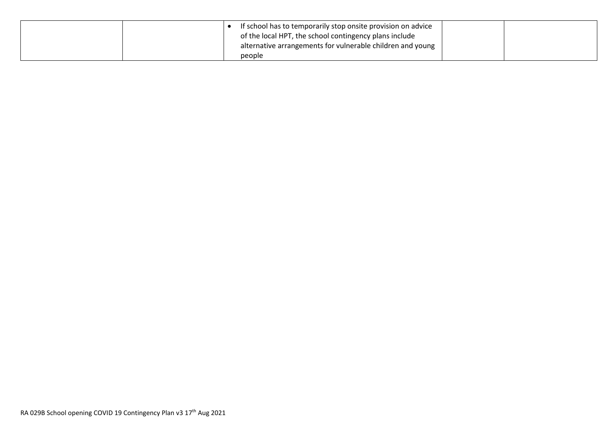|  | If school has to temporarily stop onsite provision on advice |  |
|--|--------------------------------------------------------------|--|
|  | of the local HPT, the school contingency plans include       |  |
|  | alternative arrangements for vulnerable children and young   |  |
|  | people                                                       |  |